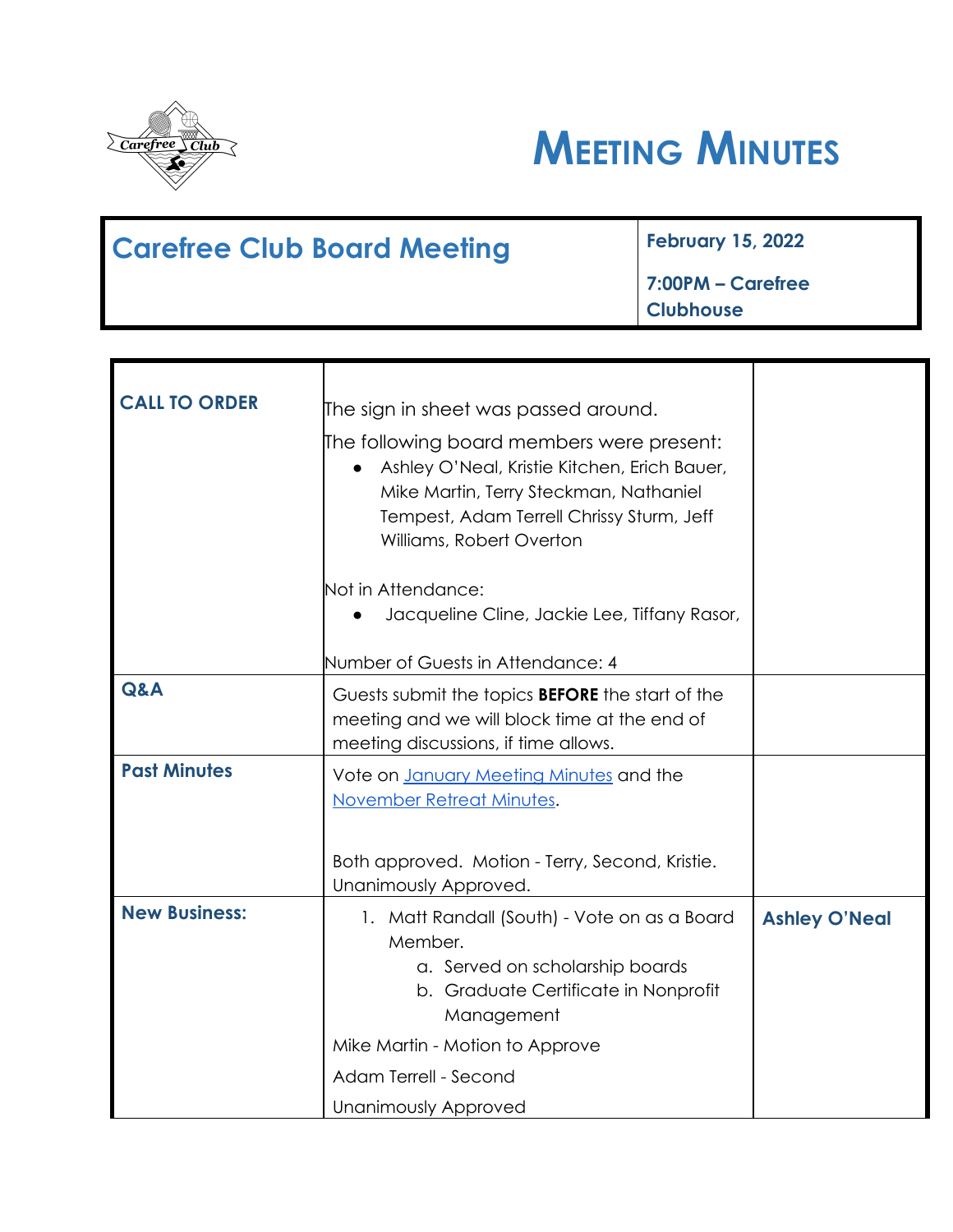



| <b>Carefree Club Board Meeting</b> | <b>February 15, 2022</b>  |
|------------------------------------|---------------------------|
|                                    | $\vert$ 7:00PM – Carefree |
|                                    | <b>Clubhouse</b>          |

| <b>CALL TO ORDER</b> | The sign in sheet was passed around.<br>The following board members were present:<br>Ashley O'Neal, Kristie Kitchen, Erich Bauer,<br>$\bullet$<br>Mike Martin, Terry Steckman, Nathaniel<br>Tempest, Adam Terrell Chrissy Sturm, Jeff<br>Williams, Robert Overton |                      |
|----------------------|-------------------------------------------------------------------------------------------------------------------------------------------------------------------------------------------------------------------------------------------------------------------|----------------------|
|                      | Not in Attendance:<br>Jacqueline Cline, Jackie Lee, Tiffany Rasor,                                                                                                                                                                                                |                      |
|                      | Number of Guests in Attendance: 4                                                                                                                                                                                                                                 |                      |
| Q&A                  | Guests submit the topics <b>BEFORE</b> the start of the<br>meeting and we will block time at the end of<br>meeting discussions, if time allows.                                                                                                                   |                      |
| <b>Past Minutes</b>  | Vote on January Meeting Minutes and the<br>November Retreat Minutes.                                                                                                                                                                                              |                      |
|                      | Both approved. Motion - Terry, Second, Kristie.<br>Unanimously Approved.                                                                                                                                                                                          |                      |
| <b>New Business:</b> | 1. Matt Randall (South) - Vote on as a Board<br>Member.<br>a. Served on scholarship boards<br>b. Graduate Certificate in Nonprofit<br>Management<br>Mike Martin - Motion to Approve                                                                               | <b>Ashley O'Neal</b> |
|                      | Adam Terrell - Second<br>Unanimously Approved                                                                                                                                                                                                                     |                      |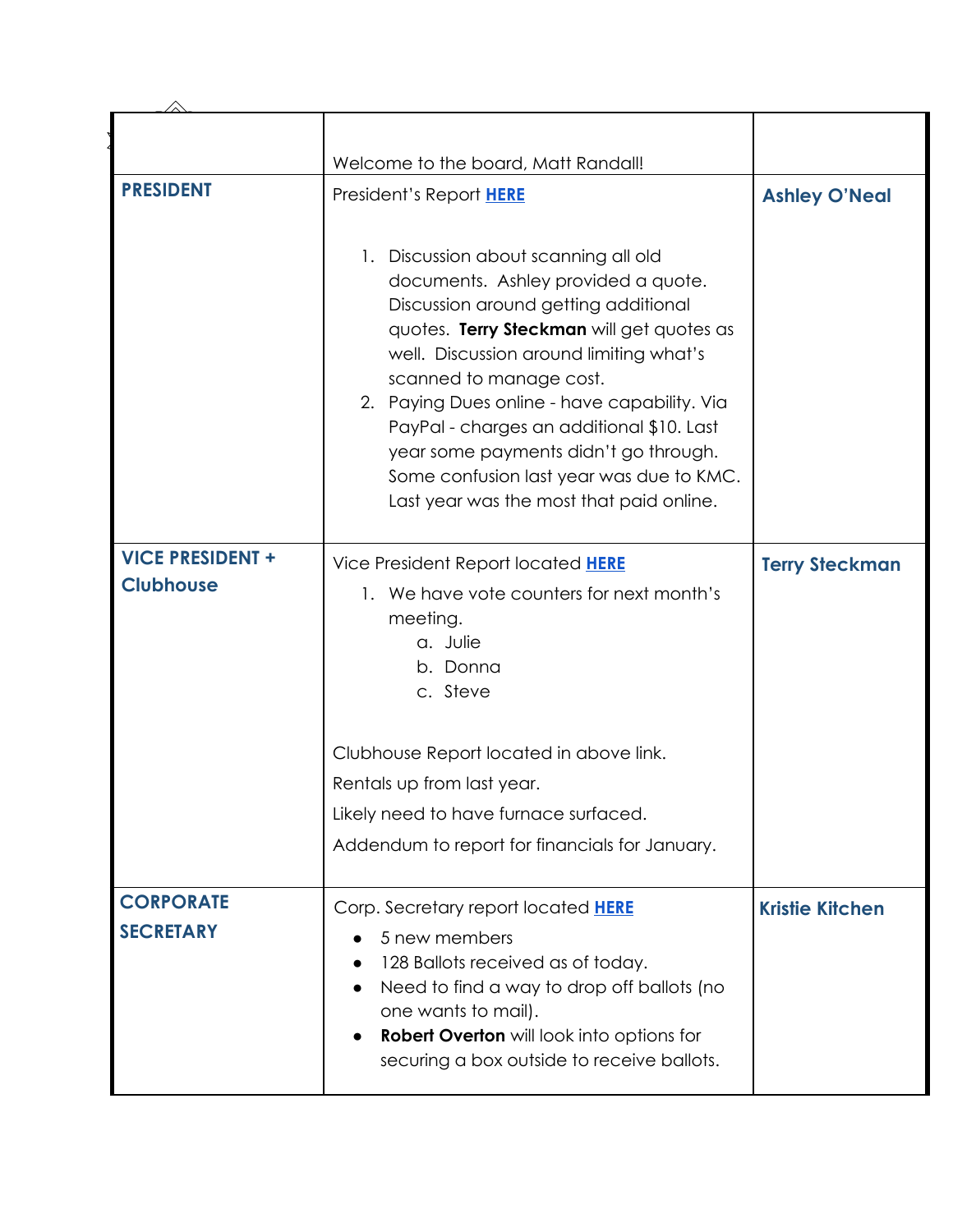|                                             | Welcome to the board, Matt Randall!                                                                                                                                                                                                                                                                                                                                                                                                                                  |                        |
|---------------------------------------------|----------------------------------------------------------------------------------------------------------------------------------------------------------------------------------------------------------------------------------------------------------------------------------------------------------------------------------------------------------------------------------------------------------------------------------------------------------------------|------------------------|
| <b>PRESIDENT</b>                            | President's Report HERE                                                                                                                                                                                                                                                                                                                                                                                                                                              | <b>Ashley O'Neal</b>   |
|                                             | 1. Discussion about scanning all old<br>documents. Ashley provided a quote.<br>Discussion around getting additional<br>quotes. Terry Steckman will get quotes as<br>well. Discussion around limiting what's<br>scanned to manage cost.<br>2. Paying Dues online - have capability. Via<br>PayPal - charges an additional \$10. Last<br>year some payments didn't go through.<br>Some confusion last year was due to KMC.<br>Last year was the most that paid online. |                        |
| <b>VICE PRESIDENT +</b><br><b>Clubhouse</b> | Vice President Report located HERE<br>1. We have vote counters for next month's<br>meeting.<br>a. Julie<br>b. Donna<br>c. Steve                                                                                                                                                                                                                                                                                                                                      | <b>Terry Steckman</b>  |
|                                             | Clubhouse Report located in above link.<br>Rentals up from last year.<br>Likely need to have furnace surfaced.<br>Addendum to report for financials for January.                                                                                                                                                                                                                                                                                                     |                        |
| <b>CORPORATE</b><br><b>SECRETARY</b>        | Corp. Secretary report located <b>HERE</b><br>5 new members<br>128 Ballots received as of today.<br>Need to find a way to drop off ballots (no<br>one wants to mail).<br><b>Robert Overton</b> will look into options for<br>securing a box outside to receive ballots.                                                                                                                                                                                              | <b>Kristie Kitchen</b> |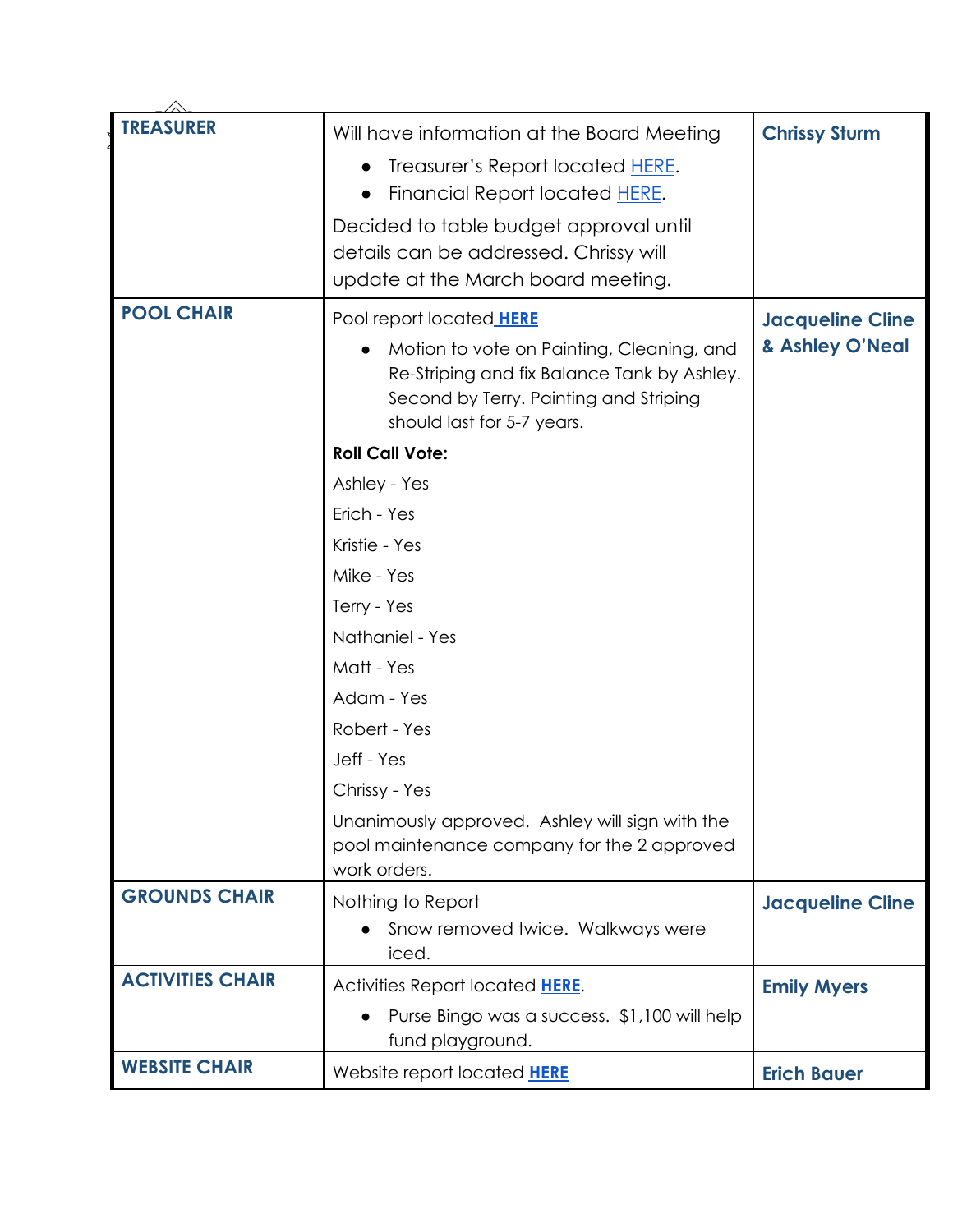| <b>TREASURER</b>        | Will have information at the Board Meeting<br>Treasurer's Report located HERE.<br>Financial Report located HERE.<br>Decided to table budget approval until<br>details can be addressed. Chrissy will<br>update at the March board meeting. | <b>Chrissy Sturm</b>                       |
|-------------------------|--------------------------------------------------------------------------------------------------------------------------------------------------------------------------------------------------------------------------------------------|--------------------------------------------|
| <b>POOL CHAIR</b>       | Pool report located <b>HERE</b><br>Motion to vote on Painting, Cleaning, and<br>$\bullet$<br>Re-Striping and fix Balance Tank by Ashley.<br>Second by Terry. Painting and Striping<br>should last for 5-7 years.<br><b>Roll Call Vote:</b> | <b>Jacqueline Cline</b><br>& Ashley O'Neal |
|                         | Ashley - Yes                                                                                                                                                                                                                               |                                            |
|                         | Erich - Yes                                                                                                                                                                                                                                |                                            |
|                         | Kristie - Yes                                                                                                                                                                                                                              |                                            |
|                         | Mike - Yes                                                                                                                                                                                                                                 |                                            |
|                         | Terry - Yes                                                                                                                                                                                                                                |                                            |
|                         | Nathaniel - Yes                                                                                                                                                                                                                            |                                            |
|                         | Matt - Yes                                                                                                                                                                                                                                 |                                            |
|                         | Adam - Yes                                                                                                                                                                                                                                 |                                            |
|                         | Robert - Yes                                                                                                                                                                                                                               |                                            |
|                         | Jeff - Yes                                                                                                                                                                                                                                 |                                            |
|                         | Chrissy - Yes                                                                                                                                                                                                                              |                                            |
|                         | Unanimously approved. Ashley will sign with the<br>pool maintenance company for the 2 approved<br>work orders.                                                                                                                             |                                            |
| <b>GROUNDS CHAIR</b>    | Nothing to Report                                                                                                                                                                                                                          | <b>Jacqueline Cline</b>                    |
|                         | Snow removed twice. Walkways were<br>iced.                                                                                                                                                                                                 |                                            |
| <b>ACTIVITIES CHAIR</b> | Activities Report located HERE.                                                                                                                                                                                                            | <b>Emily Myers</b>                         |
|                         | Purse Bingo was a success. \$1,100 will help<br>fund playground.                                                                                                                                                                           |                                            |
| <b>WEBSITE CHAIR</b>    | Website report located HERE                                                                                                                                                                                                                | <b>Erich Bauer</b>                         |